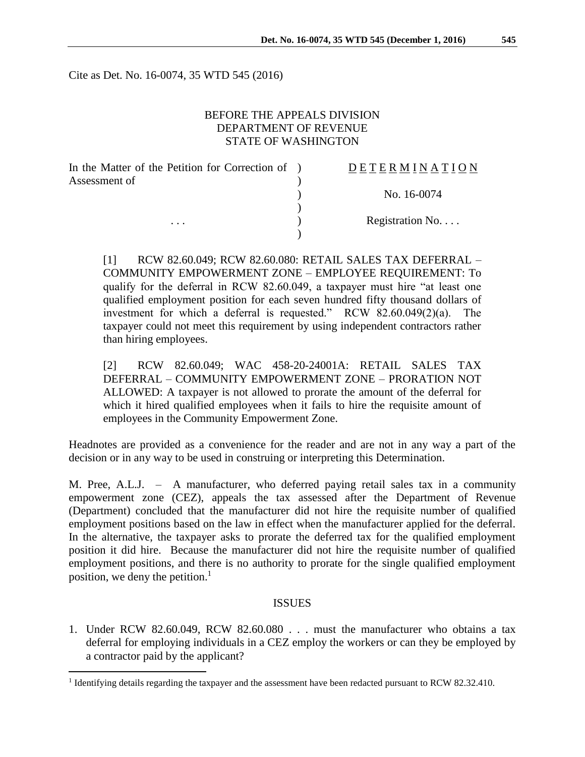Cite as Det. No. 16-0074, 35 WTD 545 (2016)

## BEFORE THE APPEALS DIVISION DEPARTMENT OF REVENUE STATE OF WASHINGTON

| In the Matter of the Petition for Correction of | DETERMINATION   |
|-------------------------------------------------|-----------------|
| Assessment of                                   |                 |
|                                                 | No. 16-0074     |
|                                                 |                 |
| $\cdots$                                        | Registration No |
|                                                 |                 |

[1] RCW 82.60.049; RCW 82.60.080: RETAIL SALES TAX DEFERRAL – COMMUNITY EMPOWERMENT ZONE – EMPLOYEE REQUIREMENT: To qualify for the deferral in RCW 82.60.049, a taxpayer must hire "at least one qualified employment position for each seven hundred fifty thousand dollars of investment for which a deferral is requested." RCW 82.60.049(2)(a). The taxpayer could not meet this requirement by using independent contractors rather than hiring employees.

[2] RCW 82.60.049; WAC 458-20-24001A: RETAIL SALES TAX DEFERRAL – COMMUNITY EMPOWERMENT ZONE – PRORATION NOT ALLOWED: A taxpayer is not allowed to prorate the amount of the deferral for which it hired qualified employees when it fails to hire the requisite amount of employees in the Community Empowerment Zone.

Headnotes are provided as a convenience for the reader and are not in any way a part of the decision or in any way to be used in construing or interpreting this Determination.

M. Pree, A.L.J. – A manufacturer, who deferred paying retail sales tax in a community empowerment zone (CEZ), appeals the tax assessed after the Department of Revenue (Department) concluded that the manufacturer did not hire the requisite number of qualified employment positions based on the law in effect when the manufacturer applied for the deferral. In the alternative, the taxpayer asks to prorate the deferred tax for the qualified employment position it did hire. Because the manufacturer did not hire the requisite number of qualified employment positions, and there is no authority to prorate for the single qualified employment position, we deny the petition. $<sup>1</sup>$ </sup>

#### ISSUES

1. Under RCW 82.60.049, RCW 82.60.080 . . . must the manufacturer who obtains a tax deferral for employing individuals in a CEZ employ the workers or can they be employed by a contractor paid by the applicant?

 $\overline{a}$ 

<sup>&</sup>lt;sup>1</sup> Identifying details regarding the taxpayer and the assessment have been redacted pursuant to RCW 82.32.410.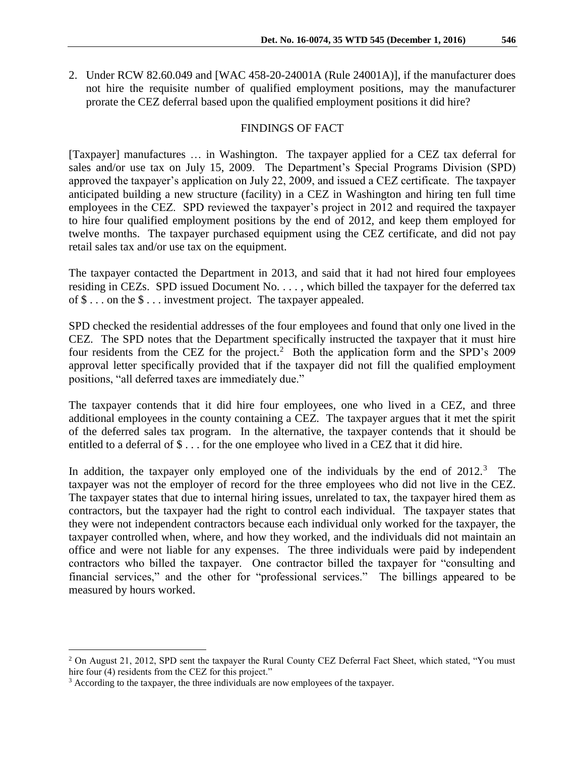2. Under RCW 82.60.049 and [WAC 458-20-24001A (Rule 24001A)], if the manufacturer does not hire the requisite number of qualified employment positions, may the manufacturer prorate the CEZ deferral based upon the qualified employment positions it did hire?

## FINDINGS OF FACT

[Taxpayer] manufactures … in Washington. The taxpayer applied for a CEZ tax deferral for sales and/or use tax on July 15, 2009. The Department's Special Programs Division (SPD) approved the taxpayer's application on July 22, 2009, and issued a CEZ certificate. The taxpayer anticipated building a new structure (facility) in a CEZ in Washington and hiring ten full time employees in the CEZ. SPD reviewed the taxpayer's project in 2012 and required the taxpayer to hire four qualified employment positions by the end of 2012, and keep them employed for twelve months. The taxpayer purchased equipment using the CEZ certificate, and did not pay retail sales tax and/or use tax on the equipment.

The taxpayer contacted the Department in 2013, and said that it had not hired four employees residing in CEZs. SPD issued Document No. . . . , which billed the taxpayer for the deferred tax of \$ . . . on the \$ . . . investment project. The taxpayer appealed.

SPD checked the residential addresses of the four employees and found that only one lived in the CEZ. The SPD notes that the Department specifically instructed the taxpayer that it must hire four residents from the CEZ for the project.<sup>2</sup> Both the application form and the SPD's 2009 approval letter specifically provided that if the taxpayer did not fill the qualified employment positions, "all deferred taxes are immediately due."

The taxpayer contends that it did hire four employees, one who lived in a CEZ, and three additional employees in the county containing a CEZ. The taxpayer argues that it met the spirit of the deferred sales tax program. In the alternative, the taxpayer contends that it should be entitled to a deferral of \$ . . . for the one employee who lived in a CEZ that it did hire.

In addition, the taxpayer only employed one of the individuals by the end of  $2012$ .<sup>3</sup> The taxpayer was not the employer of record for the three employees who did not live in the CEZ. The taxpayer states that due to internal hiring issues, unrelated to tax, the taxpayer hired them as contractors, but the taxpayer had the right to control each individual. The taxpayer states that they were not independent contractors because each individual only worked for the taxpayer, the taxpayer controlled when, where, and how they worked, and the individuals did not maintain an office and were not liable for any expenses. The three individuals were paid by independent contractors who billed the taxpayer. One contractor billed the taxpayer for "consulting and financial services," and the other for "professional services." The billings appeared to be measured by hours worked.

 $\overline{a}$ 

<sup>&</sup>lt;sup>2</sup> On August 21, 2012, SPD sent the taxpayer the Rural County CEZ Deferral Fact Sheet, which stated, "You must hire four (4) residents from the CEZ for this project."

<sup>&</sup>lt;sup>3</sup> According to the taxpayer, the three individuals are now employees of the taxpayer.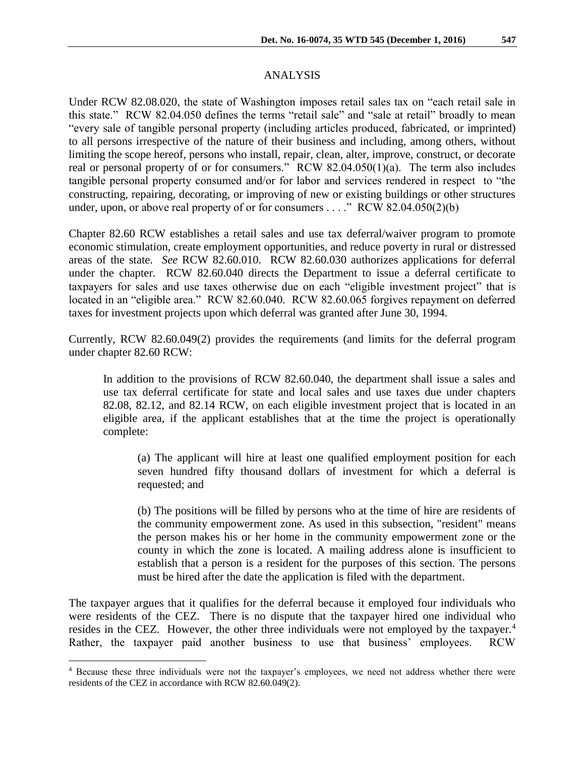## ANALYSIS

Under RCW 82.08.020, the state of Washington imposes retail sales tax on "each retail sale in this state." RCW 82.04.050 defines the terms "retail sale" and "sale at retail" broadly to mean "every sale of tangible personal property (including articles produced, fabricated, or imprinted) to all persons irrespective of the nature of their business and including, among others, without limiting the scope hereof, persons who install, repair, clean, alter, improve, construct, or decorate real or personal property of or for consumers." RCW 82.04.050(1)(a). The term also includes tangible personal property consumed and/or for labor and services rendered in respect to "the constructing, repairing, decorating, or improving of new or existing buildings or other structures under, upon, or above real property of or for consumers . . . ."  $RCW$  82.04.050(2)(b)

Chapter 82.60 RCW establishes a retail sales and use tax deferral/waiver program to promote economic stimulation, create employment opportunities, and reduce poverty in rural or distressed areas of the state. *See* RCW 82.60.010. RCW 82.60.030 authorizes applications for deferral under the chapter. RCW 82.60.040 directs the Department to issue a deferral certificate to taxpayers for sales and use taxes otherwise due on each "eligible investment project" that is located in an "eligible area." RCW 82.60.040. RCW 82.60.065 forgives repayment on deferred taxes for investment projects upon which deferral was granted after June 30, 1994.

Currently, RCW 82.60.049(2) provides the requirements (and limits for the deferral program under chapter 82.60 RCW:

In addition to the provisions of RCW 82.60.040, the department shall issue a sales and use tax deferral certificate for state and local sales and use taxes due under chapters 82.08, 82.12, and 82.14 RCW, on each eligible investment project that is located in an eligible area, if the applicant establishes that at the time the project is operationally complete:

(a) The applicant will hire at least one qualified employment position for each seven hundred fifty thousand dollars of investment for which a deferral is requested; and

(b) The positions will be filled by persons who at the time of hire are residents of the community empowerment zone. As used in this subsection, "resident" means the person makes his or her home in the community empowerment zone or the county in which the zone is located. A mailing address alone is insufficient to establish that a person is a resident for the purposes of this section. The persons must be hired after the date the application is filed with the department.

The taxpayer argues that it qualifies for the deferral because it employed four individuals who were residents of the CEZ. There is no dispute that the taxpayer hired one individual who resides in the CEZ. However, the other three individuals were not employed by the taxpayer.<sup>4</sup> Rather, the taxpayer paid another business to use that business' employees. RCW

 $\overline{a}$ 

<sup>4</sup> Because these three individuals were not the taxpayer's employees, we need not address whether there were residents of the CEZ in accordance with RCW 82.60.049(2).